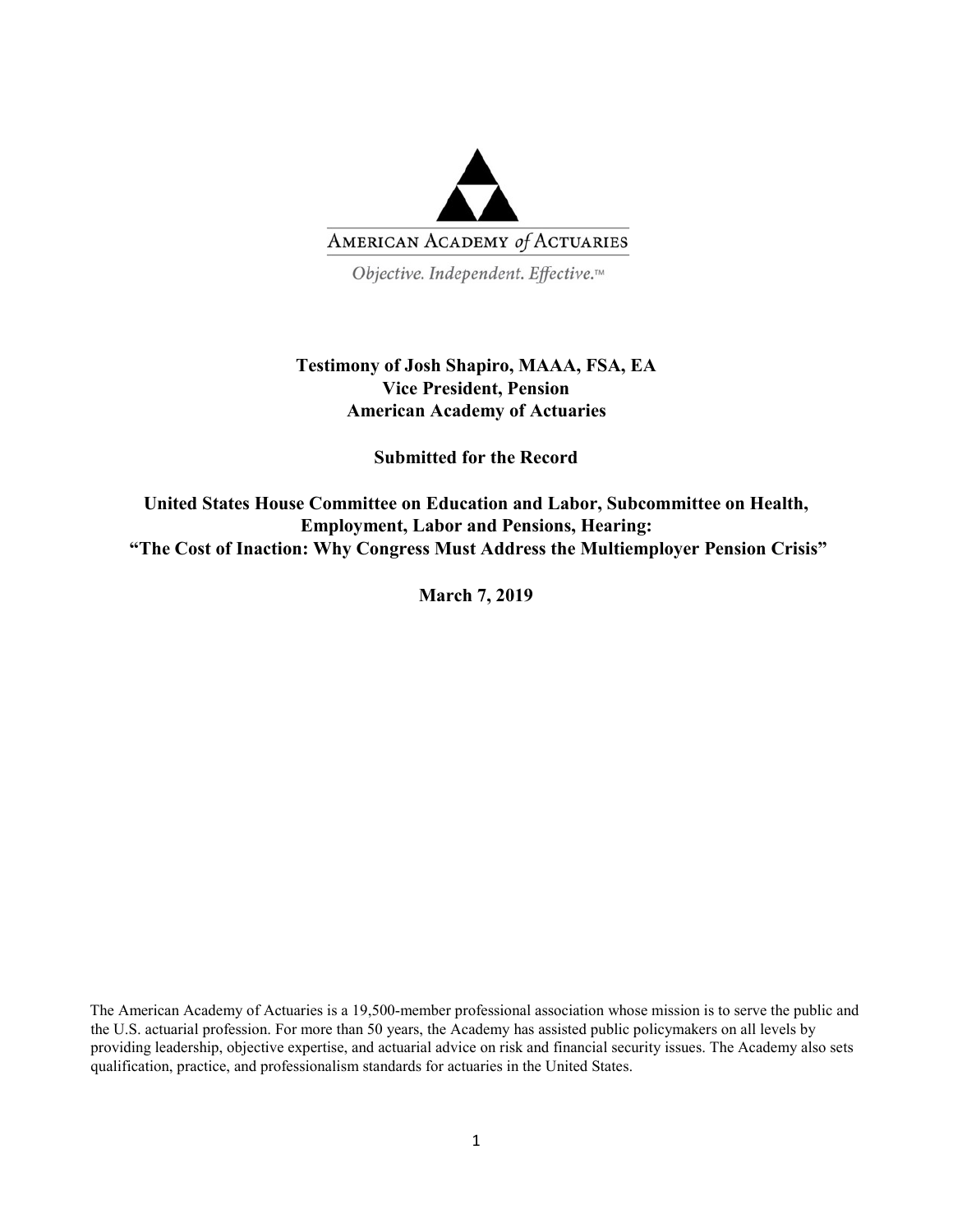

Objective. Independent. Effective.™

# **Testimony of Josh Shapiro, MAAA, FSA, EA Vice President, Pension American Academy of Actuaries**

**Submitted for the Record** 

**United States House Committee on Education and Labor, Subcommittee on Health, Employment, Labor and Pensions, Hearing: "The Cost of Inaction: Why Congress Must Address the Multiemployer Pension Crisis"**

**March 7, 2019**

The American Academy of Actuaries is a 19,500-member professional association whose mission is to serve the public and the U.S. actuarial profession. For more than 50 years, the Academy has assisted public policymakers on all levels by providing leadership, objective expertise, and actuarial advice on risk and financial security issues. The Academy also sets qualification, practice, and professionalism standards for actuaries in the United States.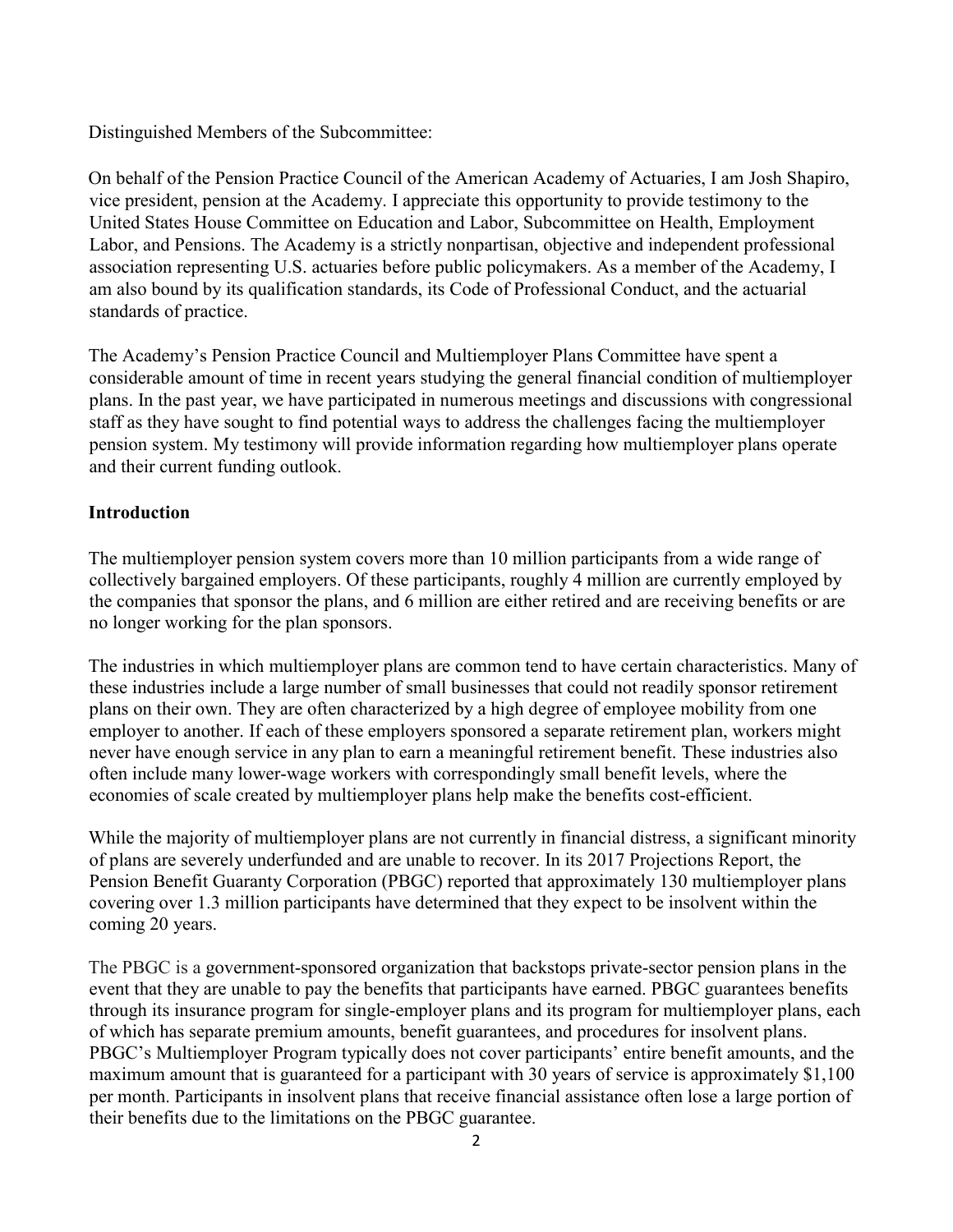Distinguished Members of the Subcommittee:

On behalf of the Pension Practice Council of the American Academy of Actuaries, I am Josh Shapiro, vice president, pension at the Academy. I appreciate this opportunity to provide testimony to the United States House Committee on Education and Labor, Subcommittee on Health, Employment Labor, and Pensions. The Academy is a strictly nonpartisan, objective and independent professional association representing U.S. actuaries before public policymakers. As a member of the Academy, I am also bound by its qualification standards, its Code of Professional Conduct, and the actuarial standards of practice.

The Academy's Pension Practice Council and Multiemployer Plans Committee have spent a considerable amount of time in recent years studying the general financial condition of multiemployer plans. In the past year, we have participated in numerous meetings and discussions with congressional staff as they have sought to find potential ways to address the challenges facing the multiemployer pension system. My testimony will provide information regarding how multiemployer plans operate and their current funding outlook.

## **Introduction**

The multiemployer pension system covers more than 10 million participants from a wide range of collectively bargained employers. Of these participants, roughly 4 million are currently employed by the companies that sponsor the plans, and 6 million are either retired and are receiving benefits or are no longer working for the plan sponsors.

The industries in which multiemployer plans are common tend to have certain characteristics. Many of these industries include a large number of small businesses that could not readily sponsor retirement plans on their own. They are often characterized by a high degree of employee mobility from one employer to another. If each of these employers sponsored a separate retirement plan, workers might never have enough service in any plan to earn a meaningful retirement benefit. These industries also often include many lower-wage workers with correspondingly small benefit levels, where the economies of scale created by multiemployer plans help make the benefits cost-efficient.

While the majority of multiemployer plans are not currently in financial distress, a significant minority of plans are severely underfunded and are unable to recover. In its 2017 Projections Report, the Pension Benefit Guaranty Corporation (PBGC) reported that approximately 130 multiemployer plans covering over 1.3 million participants have determined that they expect to be insolvent within the coming 20 years.

The PBGC is a government-sponsored organization that backstops private-sector pension plans in the event that they are unable to pay the benefits that participants have earned. PBGC guarantees benefits through its insurance program for single-employer plans and its program for multiemployer plans, each of which has separate premium amounts, benefit guarantees, and procedures for insolvent plans. PBGC's Multiemployer Program typically does not cover participants' entire benefit amounts, and the maximum amount that is guaranteed for a participant with 30 years of service is approximately \$1,100 per month. Participants in insolvent plans that receive financial assistance often lose a large portion of their benefits due to the limitations on the PBGC guarantee.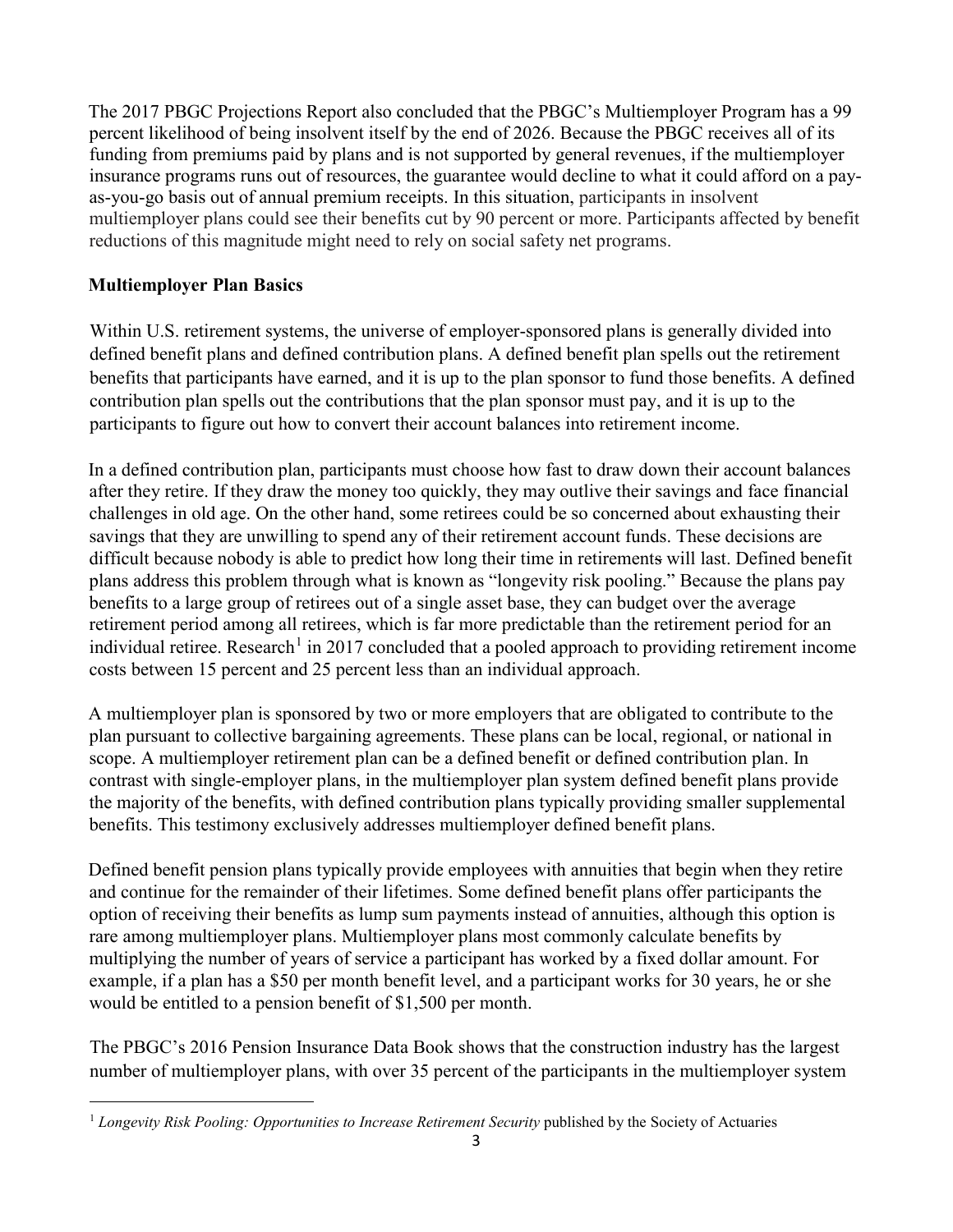The 2017 PBGC Projections Report also concluded that the PBGC's Multiemployer Program has a 99 percent likelihood of being insolvent itself by the end of 2026. Because the PBGC receives all of its funding from premiums paid by plans and is not supported by general revenues, if the multiemployer insurance programs runs out of resources, the guarantee would decline to what it could afford on a payas-you-go basis out of annual premium receipts. In this situation, participants in insolvent multiemployer plans could see their benefits cut by 90 percent or more. Participants affected by benefit reductions of this magnitude might need to rely on social safety net programs.

# **Multiemployer Plan Basics**

Within U.S. retirement systems, the universe of employer-sponsored plans is generally divided into defined benefit plans and defined contribution plans. A defined benefit plan spells out the retirement benefits that participants have earned, and it is up to the plan sponsor to fund those benefits. A defined contribution plan spells out the contributions that the plan sponsor must pay, and it is up to the participants to figure out how to convert their account balances into retirement income.

In a defined contribution plan, participants must choose how fast to draw down their account balances after they retire. If they draw the money too quickly, they may outlive their savings and face financial challenges in old age. On the other hand, some retirees could be so concerned about exhausting their savings that they are unwilling to spend any of their retirement account funds. These decisions are difficult because nobody is able to predict how long their time in retirements will last. Defined benefit plans address this problem through what is known as "longevity risk pooling." Because the plans pay benefits to a large group of retirees out of a single asset base, they can budget over the average retirement period among all retirees, which is far more predictable than the retirement period for an individual retiree. Research<sup>[1](#page-2-0)</sup> in 2017 concluded that a pooled approach to providing retirement income costs between 15 percent and 25 percent less than an individual approach.

A multiemployer plan is sponsored by two or more employers that are obligated to contribute to the plan pursuant to collective bargaining agreements. These plans can be local, regional, or national in scope. A multiemployer retirement plan can be a defined benefit or defined contribution plan. In contrast with single-employer plans, in the multiemployer plan system defined benefit plans provide the majority of the benefits, with defined contribution plans typically providing smaller supplemental benefits. This testimony exclusively addresses multiemployer defined benefit plans.

Defined benefit pension plans typically provide employees with annuities that begin when they retire and continue for the remainder of their lifetimes. Some defined benefit plans offer participants the option of receiving their benefits as lump sum payments instead of annuities, although this option is rare among multiemployer plans. Multiemployer plans most commonly calculate benefits by multiplying the number of years of service a participant has worked by a fixed dollar amount. For example, if a plan has a \$50 per month benefit level, and a participant works for 30 years, he or she would be entitled to a pension benefit of \$1,500 per month.

The PBGC's 2016 Pension Insurance Data Book shows that the construction industry has the largest number of multiemployer plans, with over 35 percent of the participants in the multiemployer system

<span id="page-2-0"></span><sup>&</sup>lt;sup>1</sup> Longevity Risk Pooling: Opportunities to Increase Retirement Security published by the Society of Actuaries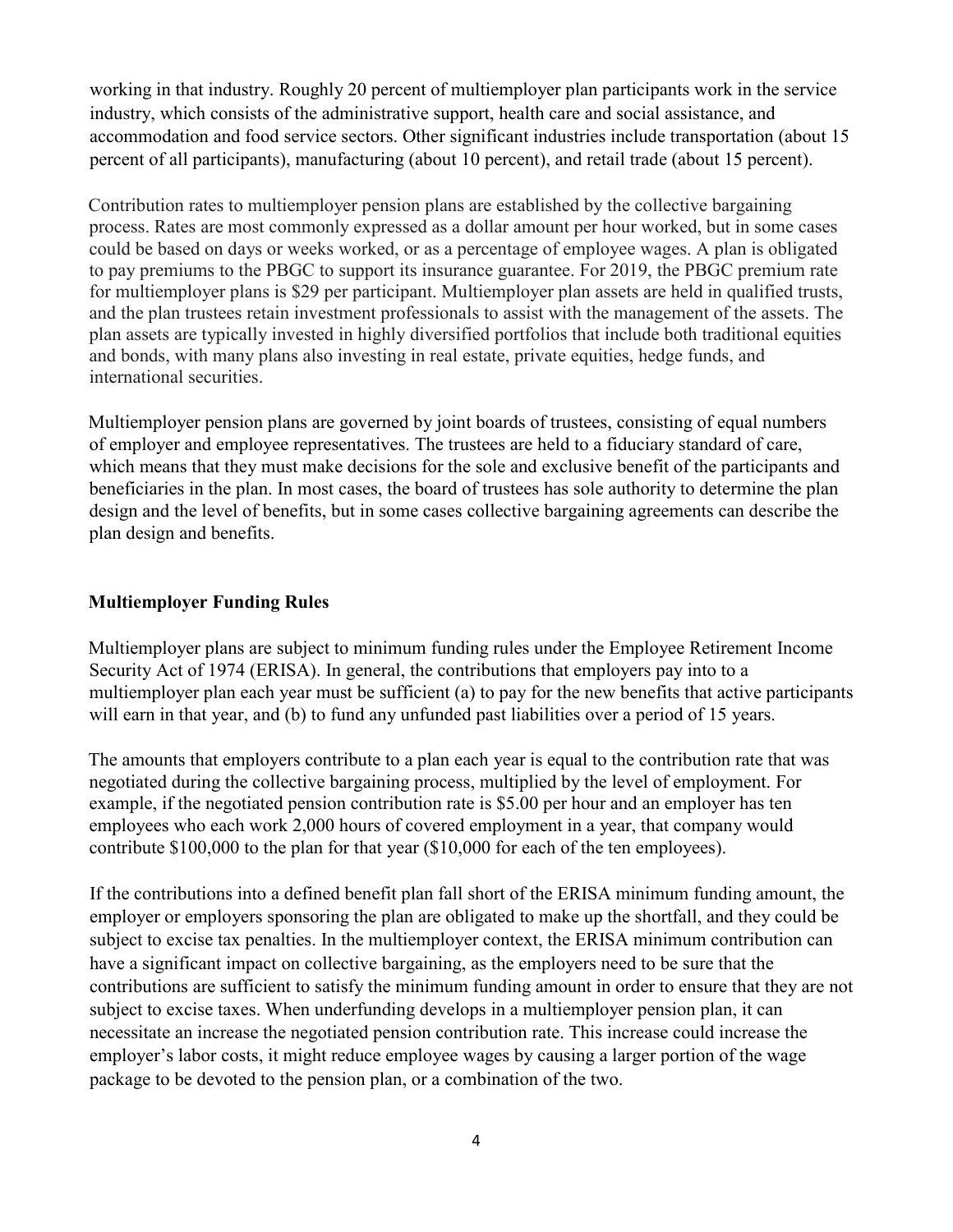working in that industry. Roughly 20 percent of multiemployer plan participants work in the service industry, which consists of the administrative support, health care and social assistance, and accommodation and food service sectors. Other significant industries include transportation (about 15 percent of all participants), manufacturing (about 10 percent), and retail trade (about 15 percent).

Contribution rates to multiemployer pension plans are established by the collective bargaining process. Rates are most commonly expressed as a dollar amount per hour worked, but in some cases could be based on days or weeks worked, or as a percentage of employee wages. A plan is obligated to pay premiums to the PBGC to support its insurance guarantee. For 2019, the PBGC premium rate for multiemployer plans is \$29 per participant. Multiemployer plan assets are held in qualified trusts, and the plan trustees retain investment professionals to assist with the management of the assets. The plan assets are typically invested in highly diversified portfolios that include both traditional equities and bonds, with many plans also investing in real estate, private equities, hedge funds, and international securities.

Multiemployer pension plans are governed by joint boards of trustees, consisting of equal numbers of employer and employee representatives. The trustees are held to a fiduciary standard of care, which means that they must make decisions for the sole and exclusive benefit of the participants and beneficiaries in the plan. In most cases, the board of trustees has sole authority to determine the plan design and the level of benefits, but in some cases collective bargaining agreements can describe the plan design and benefits.

### **Multiemployer Funding Rules**

Multiemployer plans are subject to minimum funding rules under the Employee Retirement Income Security Act of 1974 (ERISA). In general, the contributions that employers pay into to a multiemployer plan each year must be sufficient (a) to pay for the new benefits that active participants will earn in that year, and (b) to fund any unfunded past liabilities over a period of 15 years.

The amounts that employers contribute to a plan each year is equal to the contribution rate that was negotiated during the collective bargaining process, multiplied by the level of employment. For example, if the negotiated pension contribution rate is \$5.00 per hour and an employer has ten employees who each work 2,000 hours of covered employment in a year, that company would contribute \$100,000 to the plan for that year (\$10,000 for each of the ten employees).

If the contributions into a defined benefit plan fall short of the ERISA minimum funding amount, the employer or employers sponsoring the plan are obligated to make up the shortfall, and they could be subject to excise tax penalties. In the multiemployer context, the ERISA minimum contribution can have a significant impact on collective bargaining, as the employers need to be sure that the contributions are sufficient to satisfy the minimum funding amount in order to ensure that they are not subject to excise taxes. When underfunding develops in a multiemployer pension plan, it can necessitate an increase the negotiated pension contribution rate. This increase could increase the employer's labor costs, it might reduce employee wages by causing a larger portion of the wage package to be devoted to the pension plan, or a combination of the two.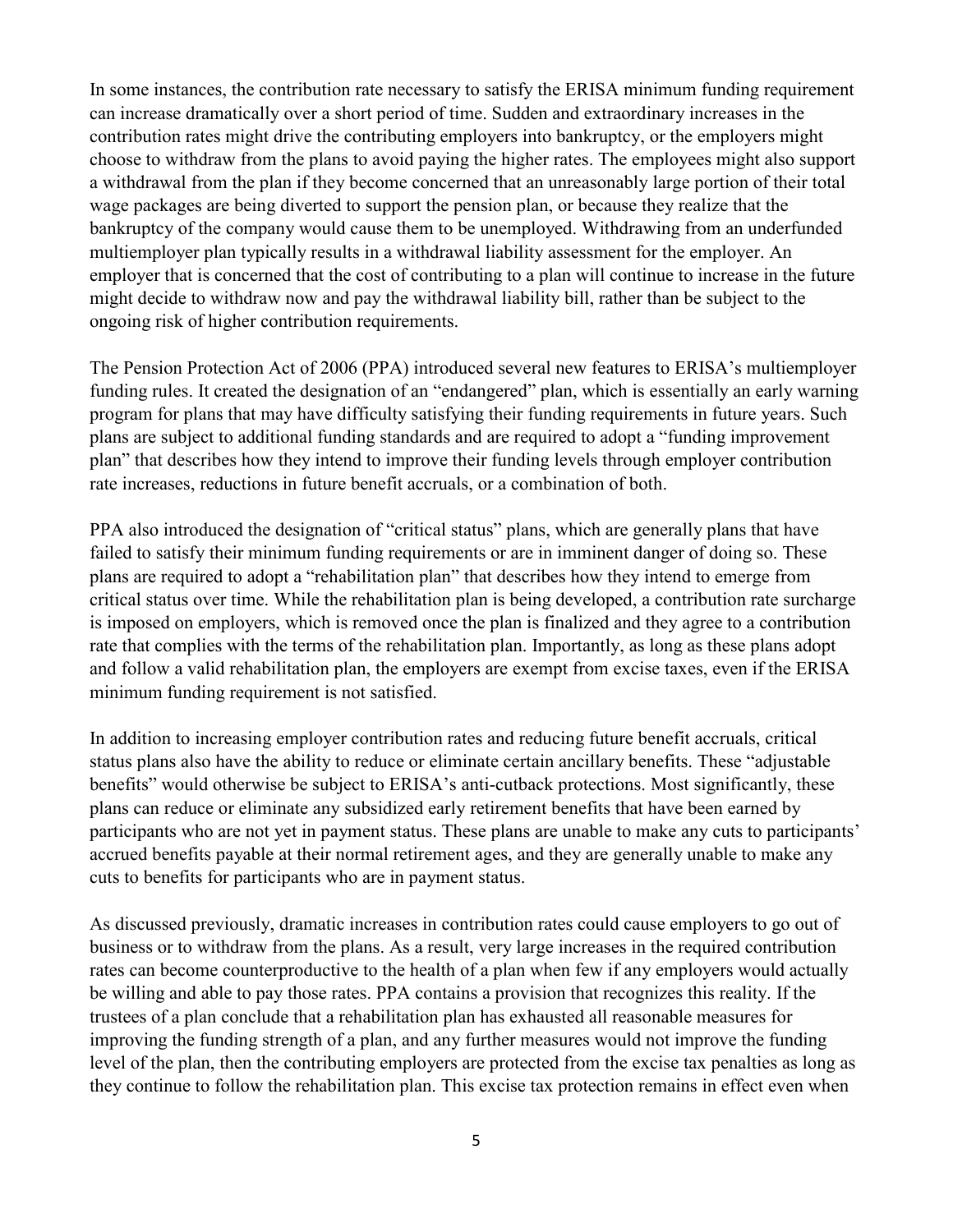In some instances, the contribution rate necessary to satisfy the ERISA minimum funding requirement can increase dramatically over a short period of time. Sudden and extraordinary increases in the contribution rates might drive the contributing employers into bankruptcy, or the employers might choose to withdraw from the plans to avoid paying the higher rates. The employees might also support a withdrawal from the plan if they become concerned that an unreasonably large portion of their total wage packages are being diverted to support the pension plan, or because they realize that the bankruptcy of the company would cause them to be unemployed. Withdrawing from an underfunded multiemployer plan typically results in a withdrawal liability assessment for the employer. An employer that is concerned that the cost of contributing to a plan will continue to increase in the future might decide to withdraw now and pay the withdrawal liability bill, rather than be subject to the ongoing risk of higher contribution requirements.

The Pension Protection Act of 2006 (PPA) introduced several new features to ERISA's multiemployer funding rules. It created the designation of an "endangered" plan, which is essentially an early warning program for plans that may have difficulty satisfying their funding requirements in future years. Such plans are subject to additional funding standards and are required to adopt a "funding improvement plan" that describes how they intend to improve their funding levels through employer contribution rate increases, reductions in future benefit accruals, or a combination of both.

PPA also introduced the designation of "critical status" plans, which are generally plans that have failed to satisfy their minimum funding requirements or are in imminent danger of doing so. These plans are required to adopt a "rehabilitation plan" that describes how they intend to emerge from critical status over time. While the rehabilitation plan is being developed, a contribution rate surcharge is imposed on employers, which is removed once the plan is finalized and they agree to a contribution rate that complies with the terms of the rehabilitation plan. Importantly, as long as these plans adopt and follow a valid rehabilitation plan, the employers are exempt from excise taxes, even if the ERISA minimum funding requirement is not satisfied.

In addition to increasing employer contribution rates and reducing future benefit accruals, critical status plans also have the ability to reduce or eliminate certain ancillary benefits. These "adjustable benefits" would otherwise be subject to ERISA's anti-cutback protections. Most significantly, these plans can reduce or eliminate any subsidized early retirement benefits that have been earned by participants who are not yet in payment status. These plans are unable to make any cuts to participants' accrued benefits payable at their normal retirement ages, and they are generally unable to make any cuts to benefits for participants who are in payment status.

As discussed previously, dramatic increases in contribution rates could cause employers to go out of business or to withdraw from the plans. As a result, very large increases in the required contribution rates can become counterproductive to the health of a plan when few if any employers would actually be willing and able to pay those rates. PPA contains a provision that recognizes this reality. If the trustees of a plan conclude that a rehabilitation plan has exhausted all reasonable measures for improving the funding strength of a plan, and any further measures would not improve the funding level of the plan, then the contributing employers are protected from the excise tax penalties as long as they continue to follow the rehabilitation plan. This excise tax protection remains in effect even when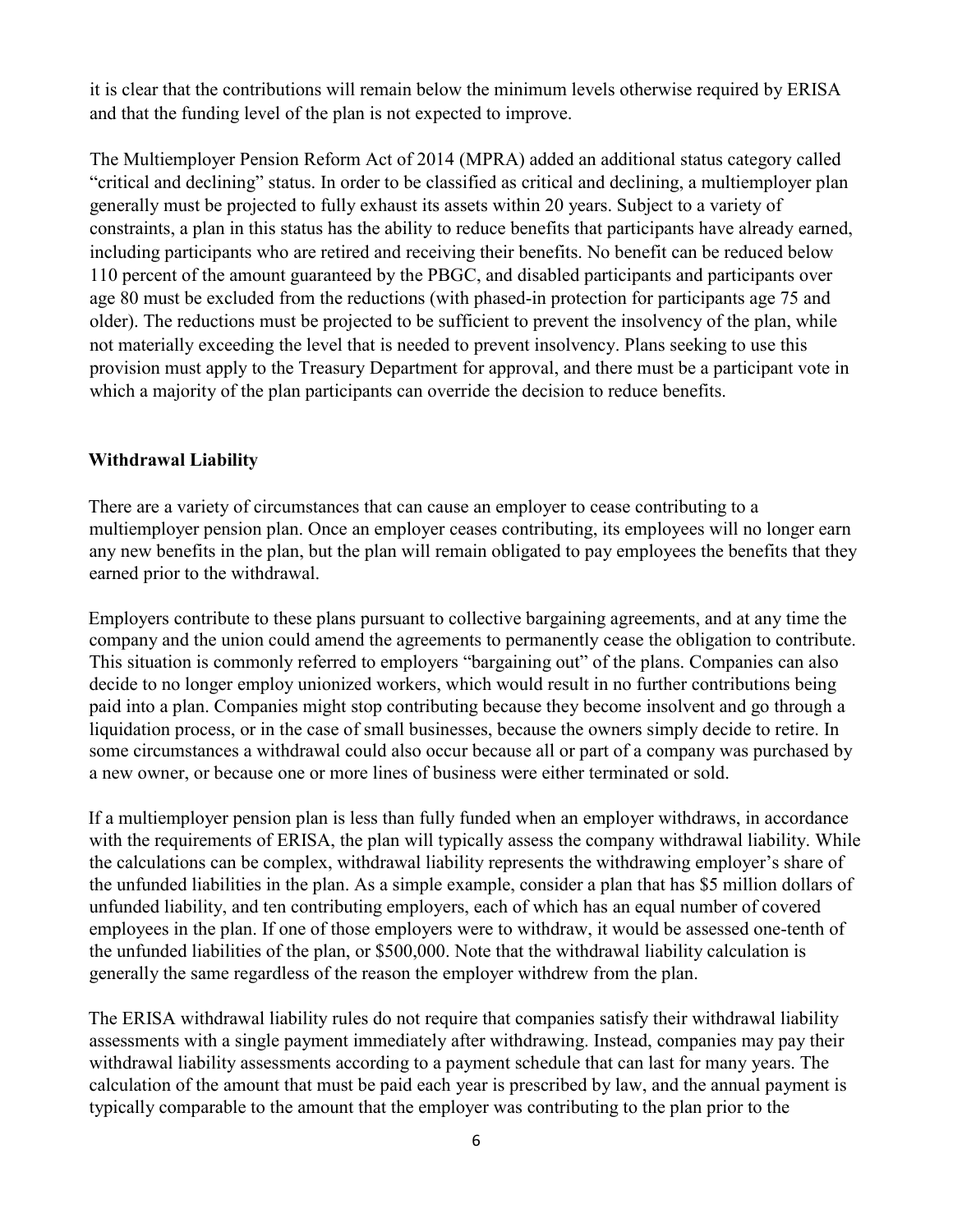it is clear that the contributions will remain below the minimum levels otherwise required by ERISA and that the funding level of the plan is not expected to improve.

The Multiemployer Pension Reform Act of 2014 (MPRA) added an additional status category called "critical and declining" status. In order to be classified as critical and declining, a multiemployer plan generally must be projected to fully exhaust its assets within 20 years. Subject to a variety of constraints, a plan in this status has the ability to reduce benefits that participants have already earned, including participants who are retired and receiving their benefits. No benefit can be reduced below 110 percent of the amount guaranteed by the PBGC, and disabled participants and participants over age 80 must be excluded from the reductions (with phased-in protection for participants age 75 and older). The reductions must be projected to be sufficient to prevent the insolvency of the plan, while not materially exceeding the level that is needed to prevent insolvency. Plans seeking to use this provision must apply to the Treasury Department for approval, and there must be a participant vote in which a majority of the plan participants can override the decision to reduce benefits.

### **Withdrawal Liability**

There are a variety of circumstances that can cause an employer to cease contributing to a multiemployer pension plan. Once an employer ceases contributing, its employees will no longer earn any new benefits in the plan, but the plan will remain obligated to pay employees the benefits that they earned prior to the withdrawal.

Employers contribute to these plans pursuant to collective bargaining agreements, and at any time the company and the union could amend the agreements to permanently cease the obligation to contribute. This situation is commonly referred to employers "bargaining out" of the plans. Companies can also decide to no longer employ unionized workers, which would result in no further contributions being paid into a plan. Companies might stop contributing because they become insolvent and go through a liquidation process, or in the case of small businesses, because the owners simply decide to retire. In some circumstances a withdrawal could also occur because all or part of a company was purchased by a new owner, or because one or more lines of business were either terminated or sold.

If a multiemployer pension plan is less than fully funded when an employer withdraws, in accordance with the requirements of ERISA, the plan will typically assess the company withdrawal liability. While the calculations can be complex, withdrawal liability represents the withdrawing employer's share of the unfunded liabilities in the plan. As a simple example, consider a plan that has \$5 million dollars of unfunded liability, and ten contributing employers, each of which has an equal number of covered employees in the plan. If one of those employers were to withdraw, it would be assessed one-tenth of the unfunded liabilities of the plan, or \$500,000. Note that the withdrawal liability calculation is generally the same regardless of the reason the employer withdrew from the plan.

The ERISA withdrawal liability rules do not require that companies satisfy their withdrawal liability assessments with a single payment immediately after withdrawing. Instead, companies may pay their withdrawal liability assessments according to a payment schedule that can last for many years. The calculation of the amount that must be paid each year is prescribed by law, and the annual payment is typically comparable to the amount that the employer was contributing to the plan prior to the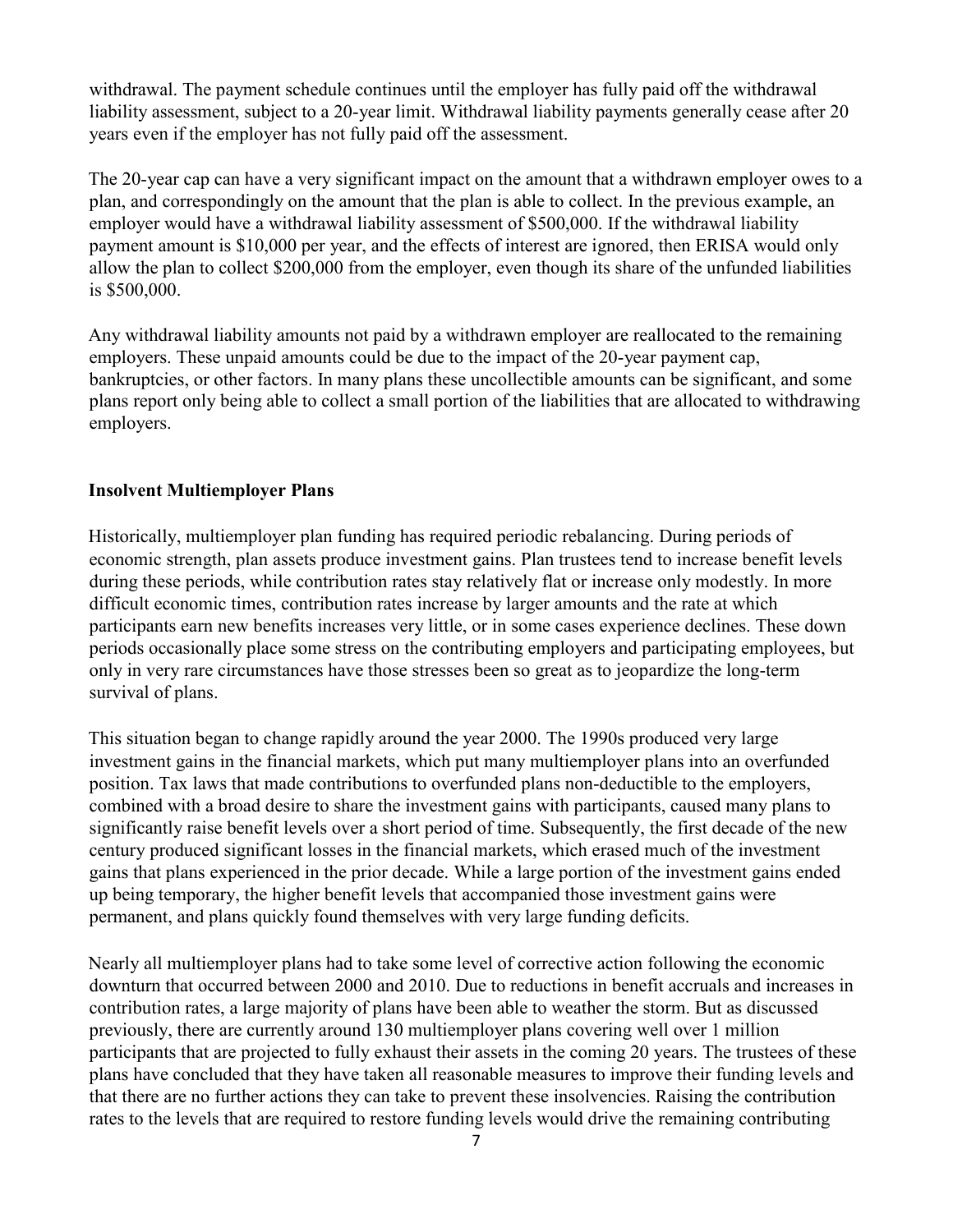withdrawal. The payment schedule continues until the employer has fully paid off the withdrawal liability assessment, subject to a 20-year limit. Withdrawal liability payments generally cease after 20 years even if the employer has not fully paid off the assessment.

The 20-year cap can have a very significant impact on the amount that a withdrawn employer owes to a plan, and correspondingly on the amount that the plan is able to collect. In the previous example, an employer would have a withdrawal liability assessment of \$500,000. If the withdrawal liability payment amount is \$10,000 per year, and the effects of interest are ignored, then ERISA would only allow the plan to collect \$200,000 from the employer, even though its share of the unfunded liabilities is \$500,000.

Any withdrawal liability amounts not paid by a withdrawn employer are reallocated to the remaining employers. These unpaid amounts could be due to the impact of the 20-year payment cap, bankruptcies, or other factors. In many plans these uncollectible amounts can be significant, and some plans report only being able to collect a small portion of the liabilities that are allocated to withdrawing employers.

## **Insolvent Multiemployer Plans**

Historically, multiemployer plan funding has required periodic rebalancing. During periods of economic strength, plan assets produce investment gains. Plan trustees tend to increase benefit levels during these periods, while contribution rates stay relatively flat or increase only modestly. In more difficult economic times, contribution rates increase by larger amounts and the rate at which participants earn new benefits increases very little, or in some cases experience declines. These down periods occasionally place some stress on the contributing employers and participating employees, but only in very rare circumstances have those stresses been so great as to jeopardize the long-term survival of plans.

This situation began to change rapidly around the year 2000. The 1990s produced very large investment gains in the financial markets, which put many multiemployer plans into an overfunded position. Tax laws that made contributions to overfunded plans non-deductible to the employers, combined with a broad desire to share the investment gains with participants, caused many plans to significantly raise benefit levels over a short period of time. Subsequently, the first decade of the new century produced significant losses in the financial markets, which erased much of the investment gains that plans experienced in the prior decade. While a large portion of the investment gains ended up being temporary, the higher benefit levels that accompanied those investment gains were permanent, and plans quickly found themselves with very large funding deficits.

Nearly all multiemployer plans had to take some level of corrective action following the economic downturn that occurred between 2000 and 2010. Due to reductions in benefit accruals and increases in contribution rates, a large majority of plans have been able to weather the storm. But as discussed previously, there are currently around 130 multiemployer plans covering well over 1 million participants that are projected to fully exhaust their assets in the coming 20 years. The trustees of these plans have concluded that they have taken all reasonable measures to improve their funding levels and that there are no further actions they can take to prevent these insolvencies. Raising the contribution rates to the levels that are required to restore funding levels would drive the remaining contributing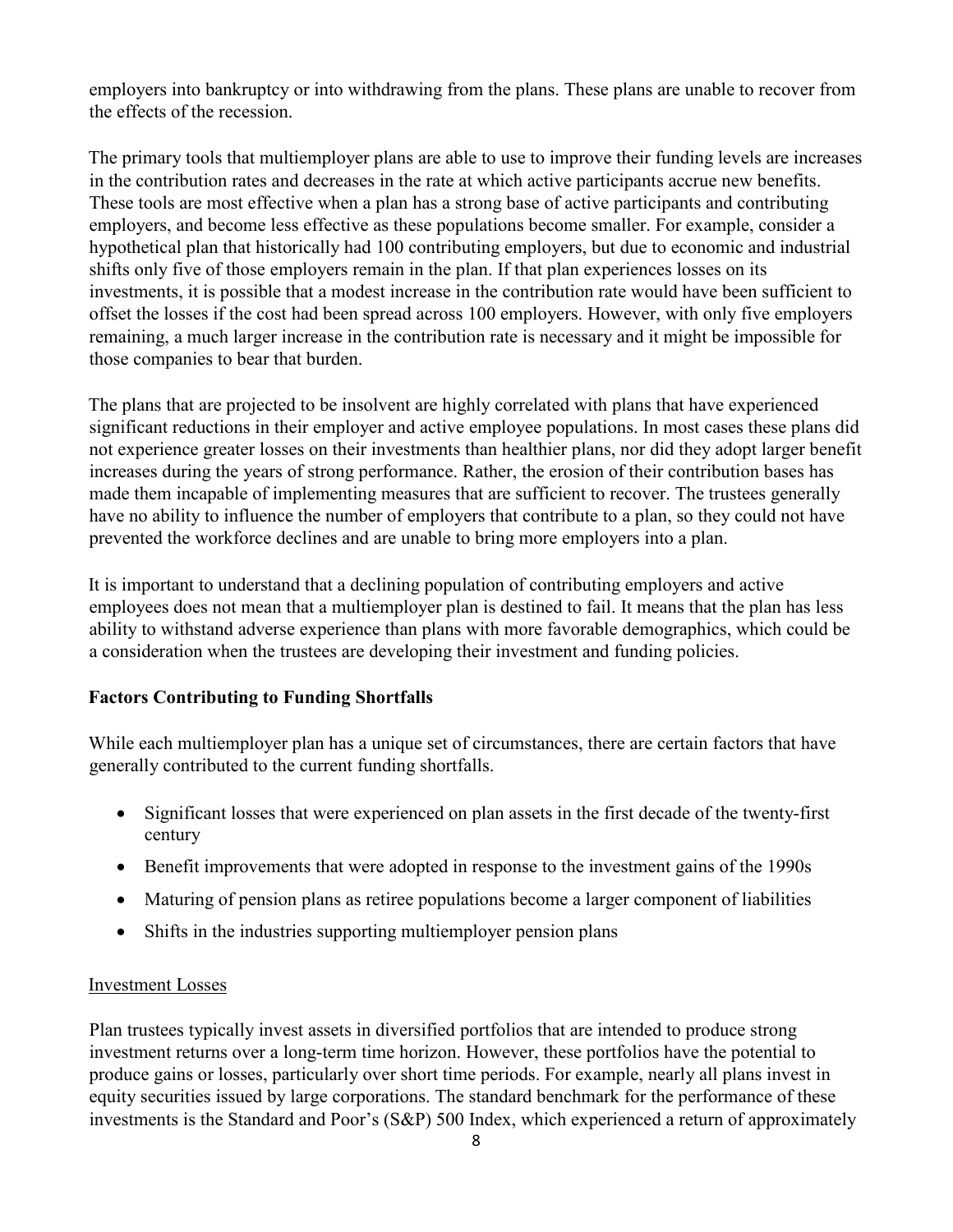employers into bankruptcy or into withdrawing from the plans. These plans are unable to recover from the effects of the recession.

The primary tools that multiemployer plans are able to use to improve their funding levels are increases in the contribution rates and decreases in the rate at which active participants accrue new benefits. These tools are most effective when a plan has a strong base of active participants and contributing employers, and become less effective as these populations become smaller. For example, consider a hypothetical plan that historically had 100 contributing employers, but due to economic and industrial shifts only five of those employers remain in the plan. If that plan experiences losses on its investments, it is possible that a modest increase in the contribution rate would have been sufficient to offset the losses if the cost had been spread across 100 employers. However, with only five employers remaining, a much larger increase in the contribution rate is necessary and it might be impossible for those companies to bear that burden.

The plans that are projected to be insolvent are highly correlated with plans that have experienced significant reductions in their employer and active employee populations. In most cases these plans did not experience greater losses on their investments than healthier plans, nor did they adopt larger benefit increases during the years of strong performance. Rather, the erosion of their contribution bases has made them incapable of implementing measures that are sufficient to recover. The trustees generally have no ability to influence the number of employers that contribute to a plan, so they could not have prevented the workforce declines and are unable to bring more employers into a plan.

It is important to understand that a declining population of contributing employers and active employees does not mean that a multiemployer plan is destined to fail. It means that the plan has less ability to withstand adverse experience than plans with more favorable demographics, which could be a consideration when the trustees are developing their investment and funding policies.

## **Factors Contributing to Funding Shortfalls**

While each multiemployer plan has a unique set of circumstances, there are certain factors that have generally contributed to the current funding shortfalls.

- Significant losses that were experienced on plan assets in the first decade of the twenty-first century
- Benefit improvements that were adopted in response to the investment gains of the 1990s
- Maturing of pension plans as retiree populations become a larger component of liabilities
- Shifts in the industries supporting multiemployer pension plans

#### Investment Losses

Plan trustees typically invest assets in diversified portfolios that are intended to produce strong investment returns over a long-term time horizon. However, these portfolios have the potential to produce gains or losses, particularly over short time periods. For example, nearly all plans invest in equity securities issued by large corporations. The standard benchmark for the performance of these investments is the Standard and Poor's (S&P) 500 Index, which experienced a return of approximately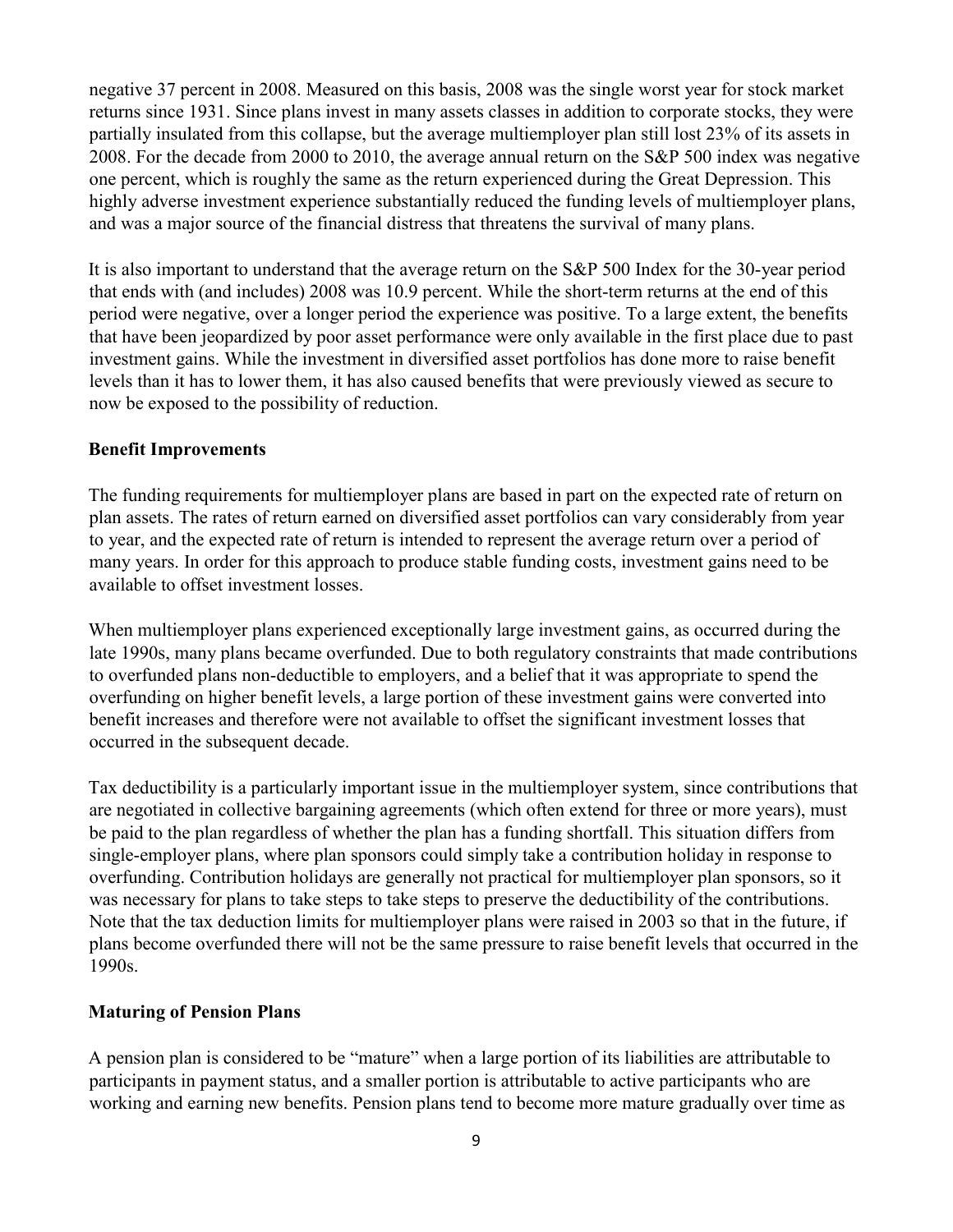negative 37 percent in 2008. Measured on this basis, 2008 was the single worst year for stock market returns since 1931. Since plans invest in many assets classes in addition to corporate stocks, they were partially insulated from this collapse, but the average multiemployer plan still lost 23% of its assets in 2008. For the decade from 2000 to 2010, the average annual return on the S&P 500 index was negative one percent, which is roughly the same as the return experienced during the Great Depression. This highly adverse investment experience substantially reduced the funding levels of multiemployer plans, and was a major source of the financial distress that threatens the survival of many plans.

It is also important to understand that the average return on the S&P 500 Index for the 30-year period that ends with (and includes) 2008 was 10.9 percent. While the short-term returns at the end of this period were negative, over a longer period the experience was positive. To a large extent, the benefits that have been jeopardized by poor asset performance were only available in the first place due to past investment gains. While the investment in diversified asset portfolios has done more to raise benefit levels than it has to lower them, it has also caused benefits that were previously viewed as secure to now be exposed to the possibility of reduction.

#### **Benefit Improvements**

The funding requirements for multiemployer plans are based in part on the expected rate of return on plan assets. The rates of return earned on diversified asset portfolios can vary considerably from year to year, and the expected rate of return is intended to represent the average return over a period of many years. In order for this approach to produce stable funding costs, investment gains need to be available to offset investment losses.

When multiemployer plans experienced exceptionally large investment gains, as occurred during the late 1990s, many plans became overfunded. Due to both regulatory constraints that made contributions to overfunded plans non-deductible to employers, and a belief that it was appropriate to spend the overfunding on higher benefit levels, a large portion of these investment gains were converted into benefit increases and therefore were not available to offset the significant investment losses that occurred in the subsequent decade.

Tax deductibility is a particularly important issue in the multiemployer system, since contributions that are negotiated in collective bargaining agreements (which often extend for three or more years), must be paid to the plan regardless of whether the plan has a funding shortfall. This situation differs from single-employer plans, where plan sponsors could simply take a contribution holiday in response to overfunding. Contribution holidays are generally not practical for multiemployer plan sponsors, so it was necessary for plans to take steps to take steps to preserve the deductibility of the contributions. Note that the tax deduction limits for multiemployer plans were raised in 2003 so that in the future, if plans become overfunded there will not be the same pressure to raise benefit levels that occurred in the 1990s.

#### **Maturing of Pension Plans**

A pension plan is considered to be "mature" when a large portion of its liabilities are attributable to participants in payment status, and a smaller portion is attributable to active participants who are working and earning new benefits. Pension plans tend to become more mature gradually over time as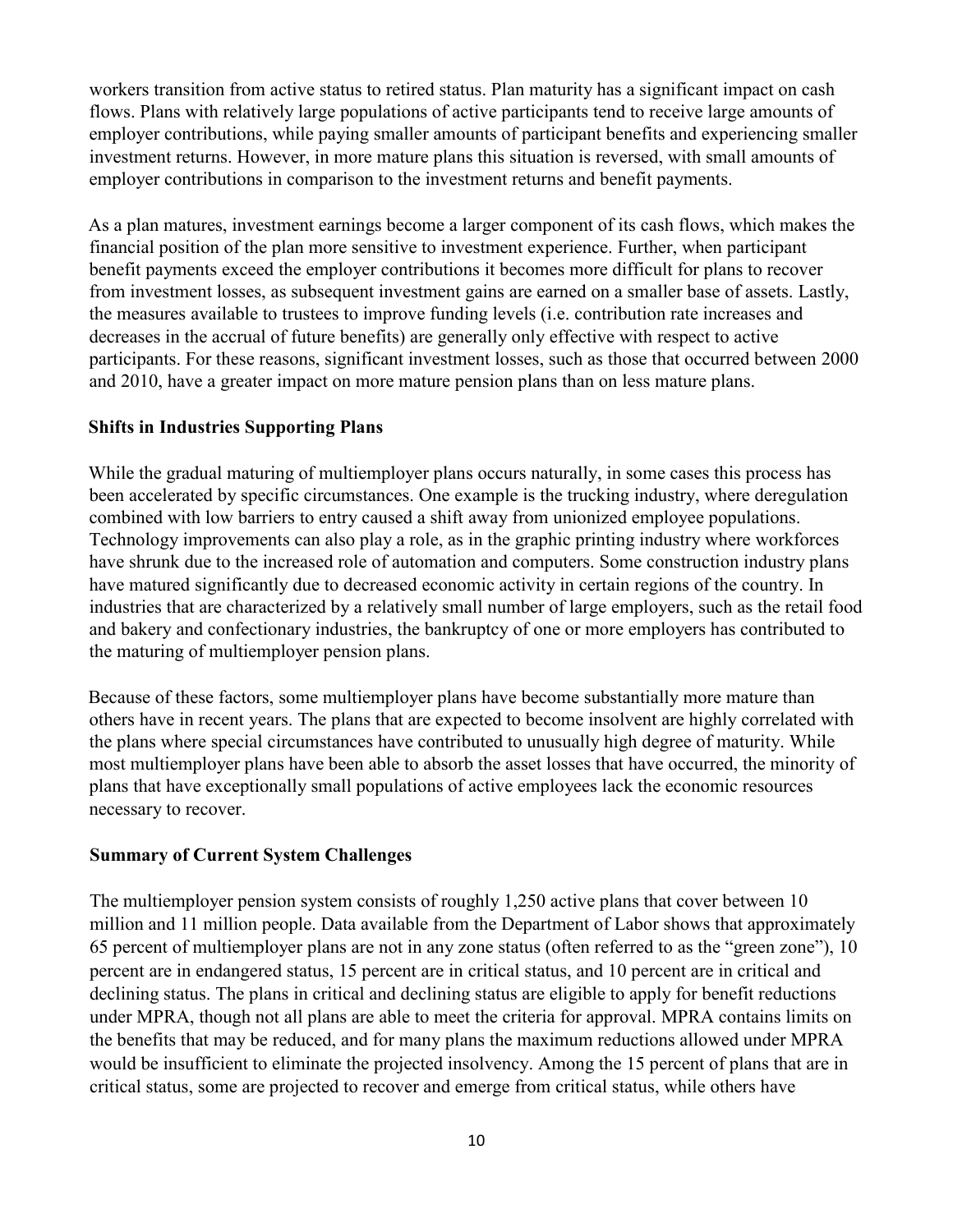workers transition from active status to retired status. Plan maturity has a significant impact on cash flows. Plans with relatively large populations of active participants tend to receive large amounts of employer contributions, while paying smaller amounts of participant benefits and experiencing smaller investment returns. However, in more mature plans this situation is reversed, with small amounts of employer contributions in comparison to the investment returns and benefit payments.

As a plan matures, investment earnings become a larger component of its cash flows, which makes the financial position of the plan more sensitive to investment experience. Further, when participant benefit payments exceed the employer contributions it becomes more difficult for plans to recover from investment losses, as subsequent investment gains are earned on a smaller base of assets. Lastly, the measures available to trustees to improve funding levels (i.e. contribution rate increases and decreases in the accrual of future benefits) are generally only effective with respect to active participants. For these reasons, significant investment losses, such as those that occurred between 2000 and 2010, have a greater impact on more mature pension plans than on less mature plans.

### **Shifts in Industries Supporting Plans**

While the gradual maturing of multiemployer plans occurs naturally, in some cases this process has been accelerated by specific circumstances. One example is the trucking industry, where deregulation combined with low barriers to entry caused a shift away from unionized employee populations. Technology improvements can also play a role, as in the graphic printing industry where workforces have shrunk due to the increased role of automation and computers. Some construction industry plans have matured significantly due to decreased economic activity in certain regions of the country. In industries that are characterized by a relatively small number of large employers, such as the retail food and bakery and confectionary industries, the bankruptcy of one or more employers has contributed to the maturing of multiemployer pension plans.

Because of these factors, some multiemployer plans have become substantially more mature than others have in recent years. The plans that are expected to become insolvent are highly correlated with the plans where special circumstances have contributed to unusually high degree of maturity. While most multiemployer plans have been able to absorb the asset losses that have occurred, the minority of plans that have exceptionally small populations of active employees lack the economic resources necessary to recover.

#### **Summary of Current System Challenges**

The multiemployer pension system consists of roughly 1,250 active plans that cover between 10 million and 11 million people. Data available from the Department of Labor shows that approximately 65 percent of multiemployer plans are not in any zone status (often referred to as the "green zone"), 10 percent are in endangered status, 15 percent are in critical status, and 10 percent are in critical and declining status. The plans in critical and declining status are eligible to apply for benefit reductions under MPRA, though not all plans are able to meet the criteria for approval. MPRA contains limits on the benefits that may be reduced, and for many plans the maximum reductions allowed under MPRA would be insufficient to eliminate the projected insolvency. Among the 15 percent of plans that are in critical status, some are projected to recover and emerge from critical status, while others have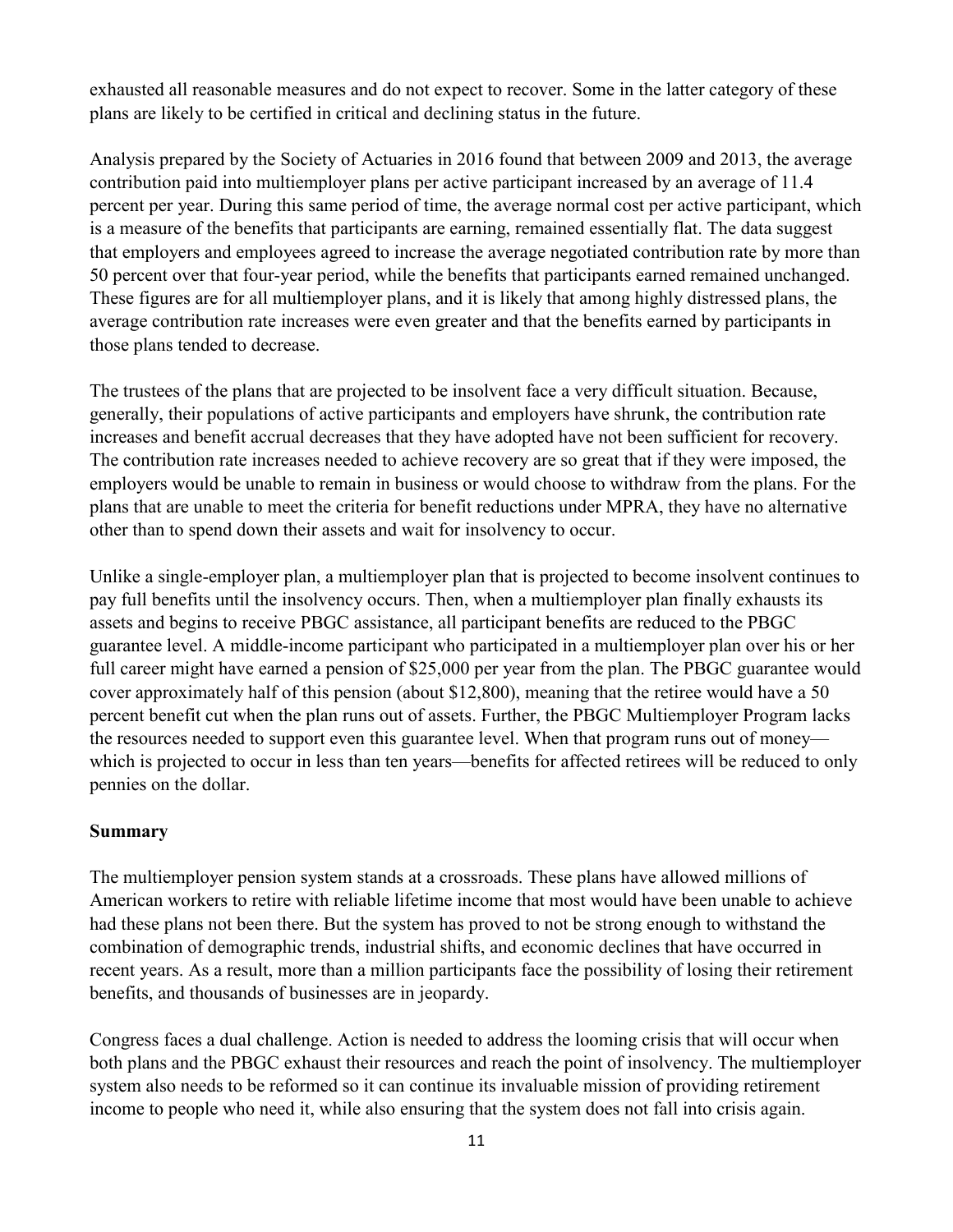exhausted all reasonable measures and do not expect to recover. Some in the latter category of these plans are likely to be certified in critical and declining status in the future.

Analysis prepared by the Society of Actuaries in 2016 found that between 2009 and 2013, the average contribution paid into multiemployer plans per active participant increased by an average of 11.4 percent per year. During this same period of time, the average normal cost per active participant, which is a measure of the benefits that participants are earning, remained essentially flat. The data suggest that employers and employees agreed to increase the average negotiated contribution rate by more than 50 percent over that four-year period, while the benefits that participants earned remained unchanged. These figures are for all multiemployer plans, and it is likely that among highly distressed plans, the average contribution rate increases were even greater and that the benefits earned by participants in those plans tended to decrease.

The trustees of the plans that are projected to be insolvent face a very difficult situation. Because, generally, their populations of active participants and employers have shrunk, the contribution rate increases and benefit accrual decreases that they have adopted have not been sufficient for recovery. The contribution rate increases needed to achieve recovery are so great that if they were imposed, the employers would be unable to remain in business or would choose to withdraw from the plans. For the plans that are unable to meet the criteria for benefit reductions under MPRA, they have no alternative other than to spend down their assets and wait for insolvency to occur.

Unlike a single-employer plan, a multiemployer plan that is projected to become insolvent continues to pay full benefits until the insolvency occurs. Then, when a multiemployer plan finally exhausts its assets and begins to receive PBGC assistance, all participant benefits are reduced to the PBGC guarantee level. A middle-income participant who participated in a multiemployer plan over his or her full career might have earned a pension of \$25,000 per year from the plan. The PBGC guarantee would cover approximately half of this pension (about \$12,800), meaning that the retiree would have a 50 percent benefit cut when the plan runs out of assets. Further, the PBGC Multiemployer Program lacks the resources needed to support even this guarantee level. When that program runs out of money which is projected to occur in less than ten years—benefits for affected retirees will be reduced to only pennies on the dollar.

#### **Summary**

The multiemployer pension system stands at a crossroads. These plans have allowed millions of American workers to retire with reliable lifetime income that most would have been unable to achieve had these plans not been there. But the system has proved to not be strong enough to withstand the combination of demographic trends, industrial shifts, and economic declines that have occurred in recent years. As a result, more than a million participants face the possibility of losing their retirement benefits, and thousands of businesses are in jeopardy.

Congress faces a dual challenge. Action is needed to address the looming crisis that will occur when both plans and the PBGC exhaust their resources and reach the point of insolvency. The multiemployer system also needs to be reformed so it can continue its invaluable mission of providing retirement income to people who need it, while also ensuring that the system does not fall into crisis again.